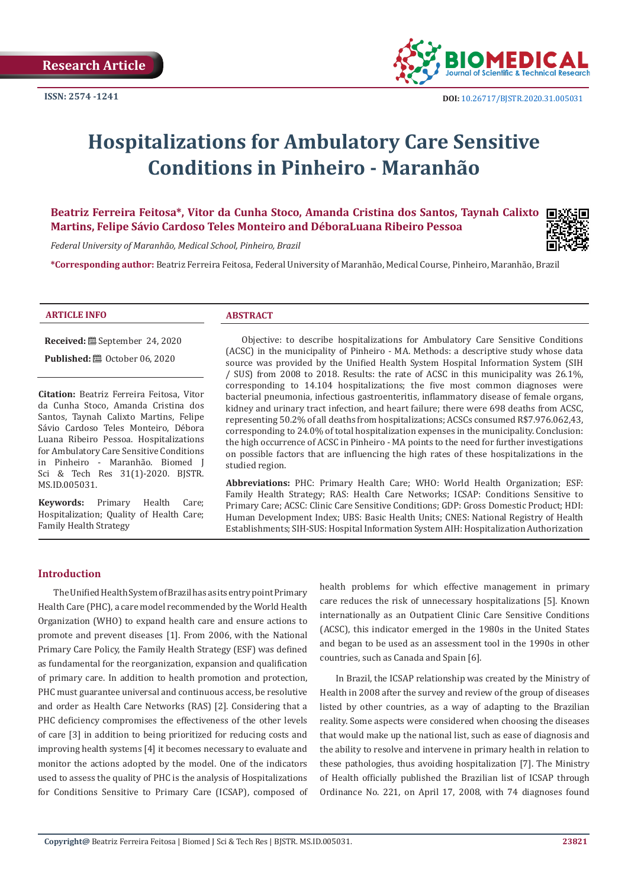

# **Hospitalizations for Ambulatory Care Sensitive Conditions in Pinheiro - Maranhão**

# **Beatriz Ferreira Feitosa\*, Vitor da Cunha Stoco, Amanda Cristina dos Santos, Taynah Calixto Martins, Felipe Sávio Cardoso Teles Monteiro and DéboraLuana Ribeiro Pessoa**

*Federal University of Maranhão, Medical School, Pinheiro, Brazil*

**\*Corresponding author:** Beatriz Ferreira Feitosa, Federal University of Maranhão, Medical Course, Pinheiro, Maranhão, Brazil

#### **ARTICLE INFO ABSTRACT**

**Received:** September 24, 2020

**Published:** @ October 06, 2020

**Citation:** Beatriz Ferreira Feitosa, Vitor da Cunha Stoco, Amanda Cristina dos Santos, Taynah Calixto Martins, Felipe Sávio Cardoso Teles Monteiro, Débora Luana Ribeiro Pessoa. Hospitalizations for Ambulatory Care Sensitive Conditions in Pinheiro - Maranhão. Biomed J Sci & Tech Res 31(1)-2020. BJSTR. MS.ID.005031.

**Keywords:** Primary Health Care; Hospitalization; Quality of Health Care; Family Health Strategy

Objective: to describe hospitalizations for Ambulatory Care Sensitive Conditions (ACSC) in the municipality of Pinheiro - MA. Methods: a descriptive study whose data source was provided by the Unified Health System Hospital Information System (SIH / SUS) from 2008 to 2018. Results: the rate of ACSC in this municipality was 26.1%, corresponding to 14.104 hospitalizations; the five most common diagnoses were bacterial pneumonia, infectious gastroenteritis, inflammatory disease of female organs, kidney and urinary tract infection, and heart failure; there were 698 deaths from ACSC, representing 50.2% of all deaths from hospitalizations; ACSCs consumed R\$7.976.062,43, corresponding to 24.0% of total hospitalization expenses in the municipality. Conclusion: the high occurrence of ACSC in Pinheiro - MA points to the need for further investigations on possible factors that are influencing the high rates of these hospitalizations in the studied region.

**Abbreviations:** PHC: Primary Health Care; WHO: World Health Organization; ESF: Family Health Strategy; RAS: Health Care Networks; ICSAP: Conditions Sensitive to Primary Care; ACSC: Clinic Care Sensitive Conditions; GDP: Gross Domestic Product; HDI: Human Development Index; UBS: Basic Health Units; CNES: National Registry of Health Establishments; SIH-SUS: Hospital Information System AIH: Hospitalization Authorization

# **Introduction**

The Unified Health System of Brazil has as its entry point Primary Health Care (PHC), a care model recommended by the World Health Organization (WHO) to expand health care and ensure actions to promote and prevent diseases [1]. From 2006, with the National Primary Care Policy, the Family Health Strategy (ESF) was defined as fundamental for the reorganization, expansion and qualification of primary care. In addition to health promotion and protection, PHC must guarantee universal and continuous access, be resolutive and order as Health Care Networks (RAS) [2]. Considering that a PHC deficiency compromises the effectiveness of the other levels of care [3] in addition to being prioritized for reducing costs and improving health systems [4] it becomes necessary to evaluate and monitor the actions adopted by the model. One of the indicators used to assess the quality of PHC is the analysis of Hospitalizations for Conditions Sensitive to Primary Care (ICSAP), composed of health problems for which effective management in primary care reduces the risk of unnecessary hospitalizations [5]. Known internationally as an Outpatient Clinic Care Sensitive Conditions (ACSC), this indicator emerged in the 1980s in the United States and began to be used as an assessment tool in the 1990s in other countries, such as Canada and Spain [6].

In Brazil, the ICSAP relationship was created by the Ministry of Health in 2008 after the survey and review of the group of diseases listed by other countries, as a way of adapting to the Brazilian reality. Some aspects were considered when choosing the diseases that would make up the national list, such as ease of diagnosis and the ability to resolve and intervene in primary health in relation to these pathologies, thus avoiding hospitalization [7]. The Ministry of Health officially published the Brazilian list of ICSAP through Ordinance No. 221, on April 17, 2008, with 74 diagnoses found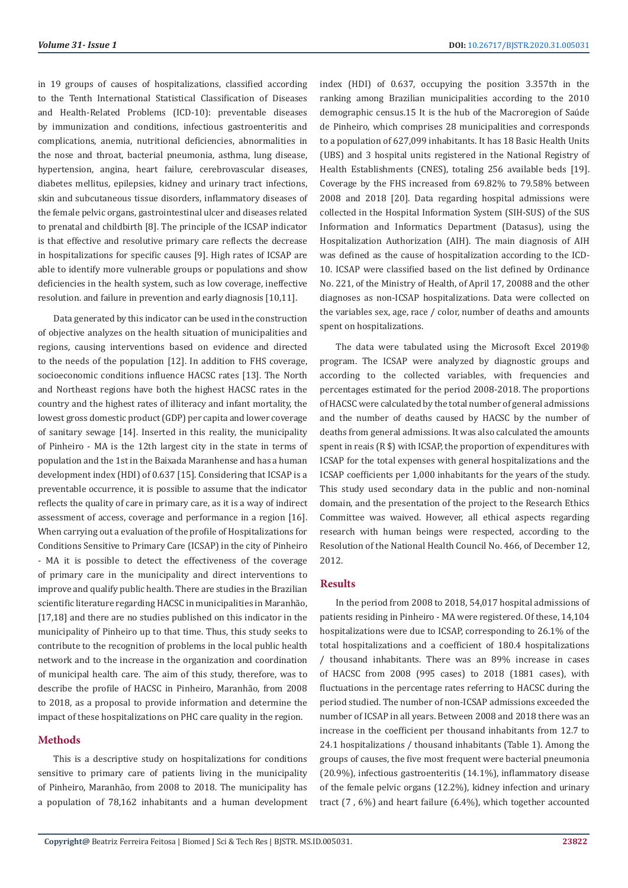in 19 groups of causes of hospitalizations, classified according to the Tenth International Statistical Classification of Diseases and Health-Related Problems (ICD-10): preventable diseases by immunization and conditions, infectious gastroenteritis and complications, anemia, nutritional deficiencies, abnormalities in the nose and throat, bacterial pneumonia, asthma, lung disease, hypertension, angina, heart failure, cerebrovascular diseases, diabetes mellitus, epilepsies, kidney and urinary tract infections, skin and subcutaneous tissue disorders, inflammatory diseases of the female pelvic organs, gastrointestinal ulcer and diseases related to prenatal and childbirth [8]. The principle of the ICSAP indicator is that effective and resolutive primary care reflects the decrease in hospitalizations for specific causes [9]. High rates of ICSAP are able to identify more vulnerable groups or populations and show deficiencies in the health system, such as low coverage, ineffective resolution. and failure in prevention and early diagnosis [10,11].

Data generated by this indicator can be used in the construction of objective analyzes on the health situation of municipalities and regions, causing interventions based on evidence and directed to the needs of the population [12]. In addition to FHS coverage, socioeconomic conditions influence HACSC rates [13]. The North and Northeast regions have both the highest HACSC rates in the country and the highest rates of illiteracy and infant mortality, the lowest gross domestic product (GDP) per capita and lower coverage of sanitary sewage [14]. Inserted in this reality, the municipality of Pinheiro - MA is the 12th largest city in the state in terms of population and the 1st in the Baixada Maranhense and has a human development index (HDI) of 0.637 [15]. Considering that ICSAP is a preventable occurrence, it is possible to assume that the indicator reflects the quality of care in primary care, as it is a way of indirect assessment of access, coverage and performance in a region [16]. When carrying out a evaluation of the profile of Hospitalizations for Conditions Sensitive to Primary Care (ICSAP) in the city of Pinheiro - MA it is possible to detect the effectiveness of the coverage of primary care in the municipality and direct interventions to improve and qualify public health. There are studies in the Brazilian scientific literature regarding HACSC in municipalities in Maranhão, [17,18] and there are no studies published on this indicator in the municipality of Pinheiro up to that time. Thus, this study seeks to contribute to the recognition of problems in the local public health network and to the increase in the organization and coordination of municipal health care. The aim of this study, therefore, was to describe the profile of HACSC in Pinheiro, Maranhão, from 2008 to 2018, as a proposal to provide information and determine the impact of these hospitalizations on PHC care quality in the region.

#### **Methods**

This is a descriptive study on hospitalizations for conditions sensitive to primary care of patients living in the municipality of Pinheiro, Maranhão, from 2008 to 2018. The municipality has a population of 78,162 inhabitants and a human development index (HDI) of 0.637, occupying the position 3.357th in the ranking among Brazilian municipalities according to the 2010 demographic census.15 It is the hub of the Macroregion of Saúde de Pinheiro, which comprises 28 municipalities and corresponds to a population of 627,099 inhabitants. It has 18 Basic Health Units (UBS) and 3 hospital units registered in the National Registry of Health Establishments (CNES), totaling 256 available beds [19]. Coverage by the FHS increased from 69.82% to 79.58% between 2008 and 2018 [20]. Data regarding hospital admissions were collected in the Hospital Information System (SIH-SUS) of the SUS Information and Informatics Department (Datasus), using the Hospitalization Authorization (AIH). The main diagnosis of AIH was defined as the cause of hospitalization according to the ICD-10. ICSAP were classified based on the list defined by Ordinance No. 221, of the Ministry of Health, of April 17, 20088 and the other diagnoses as non-ICSAP hospitalizations. Data were collected on the variables sex, age, race / color, number of deaths and amounts spent on hospitalizations.

The data were tabulated using the Microsoft Excel 2019® program. The ICSAP were analyzed by diagnostic groups and according to the collected variables, with frequencies and percentages estimated for the period 2008-2018. The proportions of HACSC were calculated by the total number of general admissions and the number of deaths caused by HACSC by the number of deaths from general admissions. It was also calculated the amounts spent in reais (R \$) with ICSAP, the proportion of expenditures with ICSAP for the total expenses with general hospitalizations and the ICSAP coefficients per 1,000 inhabitants for the years of the study. This study used secondary data in the public and non-nominal domain, and the presentation of the project to the Research Ethics Committee was waived. However, all ethical aspects regarding research with human beings were respected, according to the Resolution of the National Health Council No. 466, of December 12, 2012.

# **Results**

In the period from 2008 to 2018, 54,017 hospital admissions of patients residing in Pinheiro - MA were registered. Of these, 14,104 hospitalizations were due to ICSAP, corresponding to 26.1% of the total hospitalizations and a coefficient of 180.4 hospitalizations / thousand inhabitants. There was an 89% increase in cases of HACSC from 2008 (995 cases) to 2018 (1881 cases), with fluctuations in the percentage rates referring to HACSC during the period studied. The number of non-ICSAP admissions exceeded the number of ICSAP in all years. Between 2008 and 2018 there was an increase in the coefficient per thousand inhabitants from 12.7 to 24.1 hospitalizations / thousand inhabitants (Table 1). Among the groups of causes, the five most frequent were bacterial pneumonia (20.9%), infectious gastroenteritis (14.1%), inflammatory disease of the female pelvic organs (12.2%), kidney infection and urinary tract (7 , 6%) and heart failure (6.4%), which together accounted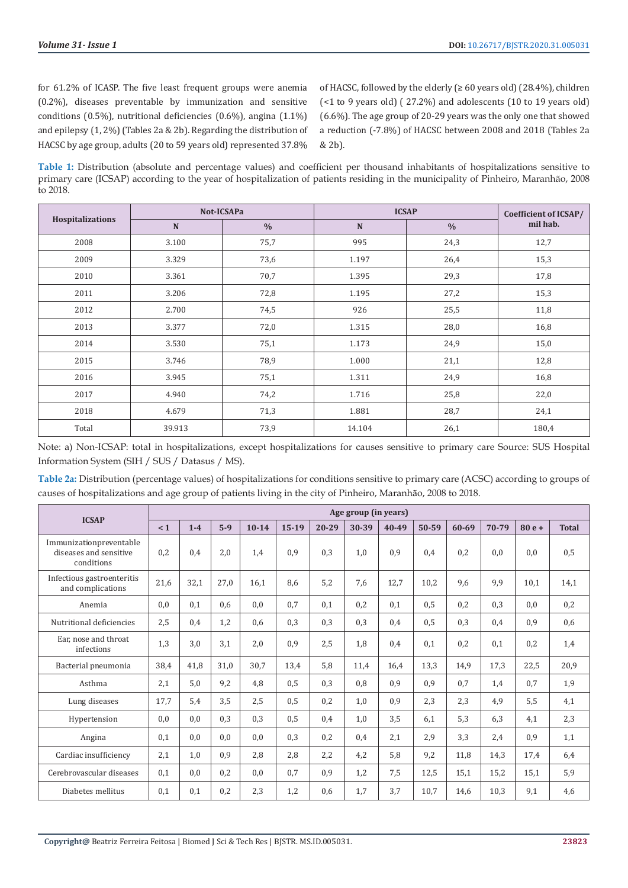for 61.2% of ICASP. The five least frequent groups were anemia (0.2%), diseases preventable by immunization and sensitive conditions (0.5%), nutritional deficiencies (0.6%), angina (1.1%) and epilepsy (1, 2%) (Tables 2a & 2b). Regarding the distribution of HACSC by age group, adults (20 to 59 years old) represented 37.8%

of HACSC, followed by the elderly ( $\geq 60$  years old) (28.4%), children (<1 to 9 years old) ( 27.2%) and adolescents (10 to 19 years old) (6.6%). The age group of 20-29 years was the only one that showed a reduction (-7.8%) of HACSC between 2008 and 2018 (Tables 2a & 2b).

**Table 1:** Distribution (absolute and percentage values) and coefficient per thousand inhabitants of hospitalizations sensitive to primary care (ICSAP) according to the year of hospitalization of patients residing in the municipality of Pinheiro, Maranhão, 2008 to 2018.

| Hospitalizations |        | Not-ICSAPa    | <b>ICSAP</b> | Coefficient of ICSAP/ |          |
|------------------|--------|---------------|--------------|-----------------------|----------|
|                  | N      | $\frac{0}{0}$ | N            | $\frac{0}{0}$         | mil hab. |
| 2008             | 3.100  | 75,7          | 995          | 24,3                  | 12,7     |
| 2009             | 3.329  | 73,6          | 1.197        | 26,4                  | 15,3     |
| 2010             | 3.361  | 70,7          | 1.395        | 29,3                  | 17,8     |
| 2011             | 3.206  | 72,8          | 1.195        | 27,2                  | 15,3     |
| 2012             | 2.700  | 74,5          | 926          | 25,5                  | 11,8     |
| 2013             | 3.377  | 72,0          | 1.315        | 28,0                  | 16,8     |
| 2014             | 3.530  | 75,1          | 1.173        | 24,9                  | 15,0     |
| 2015             | 3.746  | 78,9          | 1.000        | 21,1                  | 12,8     |
| 2016             | 3.945  | 75,1          | 1.311        | 24,9                  | 16,8     |
| 2017             | 4.940  | 74,2          | 1.716        | 25,8                  | 22,0     |
| 2018             | 4.679  | 71,3          | 1.881        | 28,7                  | 24,1     |
| Total            | 39.913 | 73,9          | 14.104       | 26,1                  | 180,4    |

Note: a) Non-ICSAP: total in hospitalizations, except hospitalizations for causes sensitive to primary care Source: SUS Hospital Information System (SIH / SUS / Datasus / MS).

**Table 2a:** Distribution (percentage values) of hospitalizations for conditions sensitive to primary care (ACSC) according to groups of causes of hospitalizations and age group of patients living in the city of Pinheiro, Maranhão, 2008 to 2018.

| <b>ICSAP</b>                                                    | Age group (in years) |         |       |           |         |           |       |           |       |       |       |         |              |
|-----------------------------------------------------------------|----------------------|---------|-------|-----------|---------|-----------|-------|-----------|-------|-------|-------|---------|--------------|
|                                                                 | < 1                  | $1 - 4$ | $5-9$ | $10 - 14$ | $15-19$ | $20 - 29$ | 30-39 | $40 - 49$ | 50-59 | 60-69 | 70-79 | $80e +$ | <b>Total</b> |
| Immunizationpreventable<br>diseases and sensitive<br>conditions | 0,2                  | 0.4     | 2,0   | 1,4       | 0.9     | 0,3       | 1,0   | 0,9       | 0.4   | 0,2   | 0,0   | 0.0     | 0,5          |
| Infectious gastroenteritis<br>and complications                 | 21,6                 | 32,1    | 27,0  | 16,1      | 8,6     | 5,2       | 7,6   | 12,7      | 10,2  | 9,6   | 9,9   | 10,1    | 14,1         |
| Anemia                                                          | 0.0                  | 0.1     | 0.6   | 0,0       | 0.7     | 0.1       | 0,2   | 0,1       | 0,5   | 0,2   | 0,3   | 0.0     | 0,2          |
| Nutritional deficiencies                                        | 2,5                  | 0,4     | 1,2   | 0,6       | 0,3     | 0,3       | 0,3   | 0,4       | 0.5   | 0,3   | 0,4   | 0,9     | 0,6          |
| Ear, nose and throat<br>infections                              | 1,3                  | 3,0     | 3,1   | 2,0       | 0,9     | 2,5       | 1,8   | 0,4       | 0.1   | 0,2   | 0,1   | 0,2     | 1,4          |
| Bacterial pneumonia                                             | 38,4                 | 41,8    | 31,0  | 30.7      | 13,4    | 5.8       | 11,4  | 16,4      | 13,3  | 14,9  | 17,3  | 22,5    | 20,9         |
| Asthma                                                          | 2,1                  | 5,0     | 9,2   | 4,8       | 0,5     | 0,3       | 0,8   | 0,9       | 0.9   | 0,7   | 1,4   | 0.7     | 1,9          |
| Lung diseases                                                   | 17,7                 | 5,4     | 3,5   | 2,5       | 0,5     | 0,2       | 1,0   | 0,9       | 2,3   | 2,3   | 4,9   | 5,5     | 4,1          |
| Hypertension                                                    | 0.0                  | 0,0     | 0.3   | 0.3       | 0,5     | 0,4       | 1,0   | 3.5       | 6.1   | 5,3   | 6,3   | 4.1     | 2,3          |
| Angina                                                          | 0,1                  | 0,0     | 0.0   | 0,0       | 0,3     | 0,2       | 0.4   | 2,1       | 2.9   | 3,3   | 2,4   | 0,9     | 1,1          |
| Cardiac insufficiency                                           | 2,1                  | 1,0     | 0,9   | 2,8       | 2,8     | 2,2       | 4,2   | 5,8       | 9,2   | 11,8  | 14,3  | 17,4    | 6,4          |
| Cerebrovascular diseases                                        | 0.1                  | 0,0     | 0,2   | 0.0       | 0.7     | 0,9       | 1,2   | 7,5       | 12,5  | 15,1  | 15,2  | 15,1    | 5,9          |
| Diabetes mellitus                                               | 0.1                  | 0,1     | 0,2   | 2,3       | 1,2     | 0,6       | 1,7   | 3,7       | 10,7  | 14,6  | 10,3  | 9,1     | 4,6          |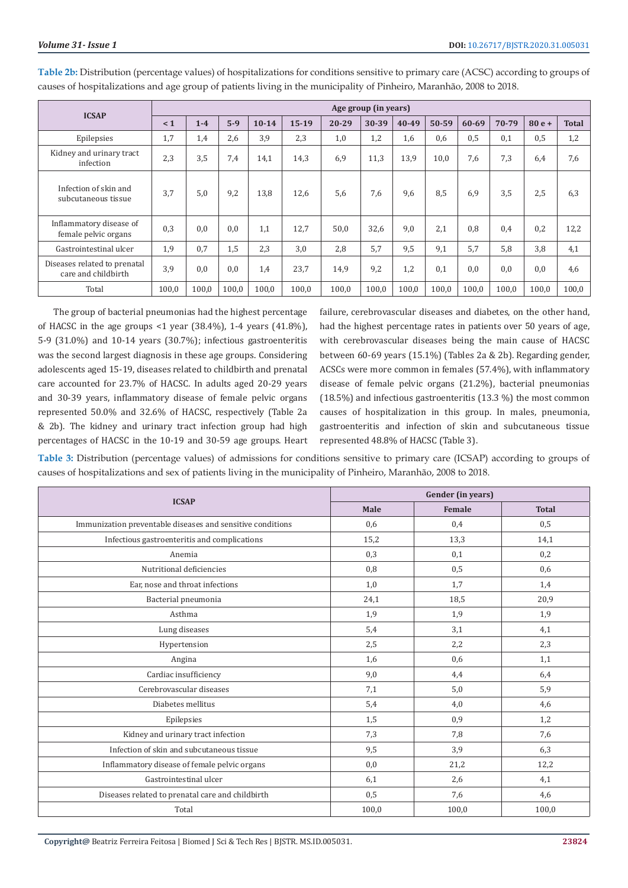| <b>ICSAP</b>                                        | Age group (in years) |       |       |           |         |       |       |       |       |           |       |         |              |
|-----------------------------------------------------|----------------------|-------|-------|-----------|---------|-------|-------|-------|-------|-----------|-------|---------|--------------|
|                                                     | $\leq 1$             | $1-4$ | $5-9$ | $10 - 14$ | $15-19$ | 20-29 | 30-39 | 40-49 | 50-59 | $60 - 69$ | 70-79 | $80e +$ | <b>Total</b> |
| Epilepsies                                          | 1,7                  | 1,4   | 2,6   | 3.9       | 2,3     | 1,0   | 1,2   | 1,6   | 0,6   | 0,5       | 0,1   | 0,5     | 1,2          |
| Kidney and urinary tract<br>infection               | 2,3                  | 3.5   | 7,4   | 14,1      | 14,3    | 6,9   | 11,3  | 13,9  | 10,0  | 7,6       | 7,3   | 6,4     | 7,6          |
| Infection of skin and<br>subcutaneous tissue        | 3,7                  | 5.0   | 9,2   | 13,8      | 12,6    | 5,6   | 7,6   | 9,6   | 8,5   | 6.9       | 3.5   | 2,5     | 6,3          |
| Inflammatory disease of<br>female pelvic organs     | 0,3                  | 0,0   | 0.0   | 1,1       | 12,7    | 50,0  | 32,6  | 9,0   | 2,1   | 0.8       | 0.4   | 0,2     | 12,2         |
| Gastrointestinal ulcer                              | 1,9                  | 0,7   | 1,5   | 2,3       | 3,0     | 2,8   | 5,7   | 9,5   | 9,1   | 5.7       | 5,8   | 3,8     | 4,1          |
| Diseases related to prenatal<br>care and childbirth | 3,9                  | 0,0   | 0.0   | 1,4       | 23,7    | 14,9  | 9,2   | 1,2   | 0.1   | 0.0       | 0,0   | 0,0     | 4,6          |
| Total                                               | 100,0                | 100,0 | 100,0 | 100.0     | 100.0   | 100,0 | 100,0 | 100.0 | 100,0 | 100,0     | 100,0 | 100,0   | 100,0        |

**Table 2b:** Distribution (percentage values) of hospitalizations for conditions sensitive to primary care (ACSC) according to groups of causes of hospitalizations and age group of patients living in the municipality of Pinheiro, Maranhão, 2008 to 2018.

The group of bacterial pneumonias had the highest percentage of HACSC in the age groups <1 year (38.4%), 1-4 years (41.8%), 5-9 (31.0%) and 10-14 years (30.7%); infectious gastroenteritis was the second largest diagnosis in these age groups. Considering adolescents aged 15-19, diseases related to childbirth and prenatal care accounted for 23.7% of HACSC. In adults aged 20-29 years and 30-39 years, inflammatory disease of female pelvic organs represented 50.0% and 32.6% of HACSC, respectively (Table 2a & 2b). The kidney and urinary tract infection group had high percentages of HACSC in the 10-19 and 30-59 age groups. Heart failure, cerebrovascular diseases and diabetes, on the other hand, had the highest percentage rates in patients over 50 years of age, with cerebrovascular diseases being the main cause of HACSC between 60-69 years (15.1%) (Tables 2a & 2b). Regarding gender, ACSCs were more common in females (57.4%), with inflammatory disease of female pelvic organs (21.2%), bacterial pneumonias (18.5%) and infectious gastroenteritis (13.3 %) the most common causes of hospitalization in this group. In males, pneumonia, gastroenteritis and infection of skin and subcutaneous tissue represented 48.8% of HACSC (Table 3).

**Table 3:** Distribution (percentage values) of admissions for conditions sensitive to primary care (ICSAP) according to groups of causes of hospitalizations and sex of patients living in the municipality of Pinheiro, Maranhão, 2008 to 2018.

|                                                            | Gender (in years) |        |              |  |  |
|------------------------------------------------------------|-------------------|--------|--------------|--|--|
| <b>ICSAP</b>                                               | Male              | Female | <b>Total</b> |  |  |
| Immunization preventable diseases and sensitive conditions | 0,6               | 0,4    | 0,5          |  |  |
| Infectious gastroenteritis and complications               | 15,2              | 13,3   | 14,1         |  |  |
| Anemia                                                     | 0,3               | 0,1    | 0,2          |  |  |
| Nutritional deficiencies                                   | 0,8               | 0,5    | 0,6          |  |  |
| Ear, nose and throat infections                            | 1,0               | 1,7    | 1,4          |  |  |
| Bacterial pneumonia                                        | 24,1              | 18,5   | 20,9         |  |  |
| Asthma                                                     | 1,9               | 1,9    | 1,9          |  |  |
| Lung diseases                                              | 5,4               | 3,1    | 4,1          |  |  |
| Hypertension                                               | 2,5               | 2,2    | 2,3          |  |  |
| Angina                                                     | 1,6               | 0,6    | 1,1          |  |  |
| Cardiac insufficiency                                      | 9,0               | 4,4    | 6,4          |  |  |
| Cerebrovascular diseases                                   | 7,1               | 5,0    | 5,9          |  |  |
| Diabetes mellitus                                          | 5,4               | 4,0    | 4,6          |  |  |
| Epilepsies                                                 | 1,5               | 0,9    | 1,2          |  |  |
| Kidney and urinary tract infection                         | 7,3               | 7,8    | 7,6          |  |  |
| Infection of skin and subcutaneous tissue                  | 9,5               | 3,9    | 6,3          |  |  |
| Inflammatory disease of female pelvic organs               | 0,0               | 21,2   | 12,2         |  |  |
| Gastrointestinal ulcer                                     | 6,1               | 2,6    | 4,1          |  |  |
| Diseases related to prenatal care and childbirth           | 0,5               | 7,6    | 4,6          |  |  |
| Total                                                      | 100,0             | 100,0  | 100,0        |  |  |

**Copyright@** Beatriz Ferreira Feitosa | Biomed J Sci & Tech Res | BJSTR. MS.ID.005031.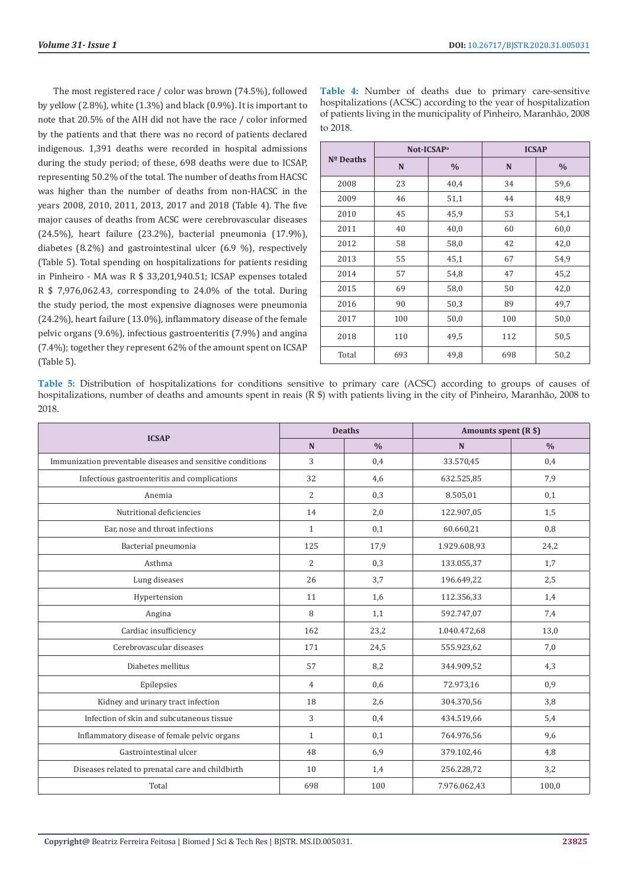The most registered race / color was brown (74.5%), followed by yellow (2.8%), white (1.3%) and black (0.9%). It is important to note that 20.5% of the AIH did not have the race / color informed by the patients and that there was no record of patients declared indigenous. 1,391 deaths were recorded in hospital admissions during the study period; of these, 698 deaths were due to ICSAP, representing 50.2% of the total. The number of deaths from HACSC was higher than the number of deaths from non-HACSC in the years 2008, 2010, 2011, 2013, 2017 and 2018 (Table 4). The five major causes of deaths from ACSC were cerebrovascular diseases (24.5%), heart failure (23.2%), bacterial pneumonia (17.9%), diabetes (8.2%) and gastrointestinal ulcer (6.9 %), respectively (Table 5). Total spending on hospitalizations for patients residing in Pinheiro - MA was R \$ 33,201,940.51; ICSAP expenses totaled R \$ 7,976,062.43, corresponding to 24.0% of the total. During the study period, the most expensive diagnoses were pneumonia (24.2%), heart failure (13.0%), inflammatory disease of the female pelvic organs (9.6%), infectious gastroenteritis (7.9%) and angina (7.4%); together they represent 62% of the amount spent on ICSAP (Table 5).

**Table 4:** Number of deaths due to primary care-sensitive hospitalizations (ACSC) according to the year of hospitalization of patients living in the municipality of Pinheiro, Maranhão, 2008 to 2018.

|             | Not-ICSAP <sup>a</sup> |               | <b>ICSAP</b> |               |  |
|-------------|------------------------|---------------|--------------|---------------|--|
| $No$ Deaths | N                      | $\frac{0}{0}$ | N            | $\frac{0}{0}$ |  |
| 2008        | 23                     | 40,4          | 34           | 59,6          |  |
| 2009        | 46                     | 51,1          | 44           | 48,9          |  |
| 2010        | 45                     | 45,9          | 53           | 54,1          |  |
| 2011        | 40                     | 40,0          | 60           | 60,0          |  |
| 2012        | 58                     | 58,0          | 42           | 42,0          |  |
| 2013        | 55                     | 45,1          | 67           | 54,9          |  |
| 2014        | 57                     | 54,8          | 47           | 45,2          |  |
| 2015        | 69                     | 58,0          | 50           | 42,0          |  |
| 2016        | 90                     | 50,3          | 89           | 49,7          |  |
| 2017        | 100                    | 50,0          | 100          | 50,0          |  |
| 2018        | 110                    | 49,5          | 112          | 50,5          |  |
| Total       | 693                    | 49,8          | 698          | 50,2          |  |

**Table 5:** Distribution of hospitalizations for conditions sensitive to primary care (ACSC) according to groups of causes of hospitalizations, number of deaths and amounts spent in reais (R \$) with patients living in the city of Pinheiro, Maranhão, 2008 to 2018.

|                                                            |                | <b>Deaths</b> | Amounts spent (R \$) |               |  |
|------------------------------------------------------------|----------------|---------------|----------------------|---------------|--|
| <b>ICSAP</b>                                               | N              | $\frac{0}{0}$ | N                    | $\frac{0}{0}$ |  |
| Immunization preventable diseases and sensitive conditions | 3              | 0,4           | 33.570,45            | 0,4           |  |
| Infectious gastroenteritis and complications               | 32             | 4,6           | 632.525,85           | 7,9           |  |
| Anemia                                                     | $\overline{2}$ | 0,3           | 8.505,01             | 0,1           |  |
| Nutritional deficiencies                                   | 14             | 2,0           | 122.907,05           | 1,5           |  |
| Ear, nose and throat infections                            | $\mathbf{1}$   | 0,1           | 60.660,21            | 0,8           |  |
| Bacterial pneumonia                                        | 125            | 17,9          | 1.929.608,93         | 24,2          |  |
| Asthma                                                     | $\overline{2}$ | 0,3           | 133.055,37           | 1,7           |  |
| Lung diseases                                              | 26             | 3,7           | 196.649,22           | 2,5           |  |
| Hypertension                                               | 11             | 1,6           | 112.356,33           | 1,4           |  |
| Angina                                                     | 8              | 1,1           | 592.747,07           | 7,4           |  |
| Cardiac insufficiency                                      | 162            | 23,2          | 1.040.472,68         | 13,0          |  |
| Cerebrovascular diseases                                   | 171            | 24,5          | 555.923,62           | 7,0           |  |
| Diabetes mellitus                                          | 57             | 8,2           | 344.909,52           | 4,3           |  |
| Epilepsies                                                 | $\overline{4}$ | 0,6           | 72.973,16            | 0,9           |  |
| Kidney and urinary tract infection                         | 18             | 2,6           | 304.370,56           | 3,8           |  |
| Infection of skin and subcutaneous tissue                  | 3              | 0,4           | 434.519,66           | 5,4           |  |
| Inflammatory disease of female pelvic organs               | $\mathbf{1}$   | 0,1           | 764.976,56           | 9,6           |  |
| Gastrointestinal ulcer                                     | 48             | 6,9           | 379.102,46           | 4,8           |  |
| Diseases related to prenatal care and childbirth           | 10             | 1,4           | 256.228,72           | 3,2           |  |
| Total                                                      | 698            | 100           | 7.976.062,43         | 100,0         |  |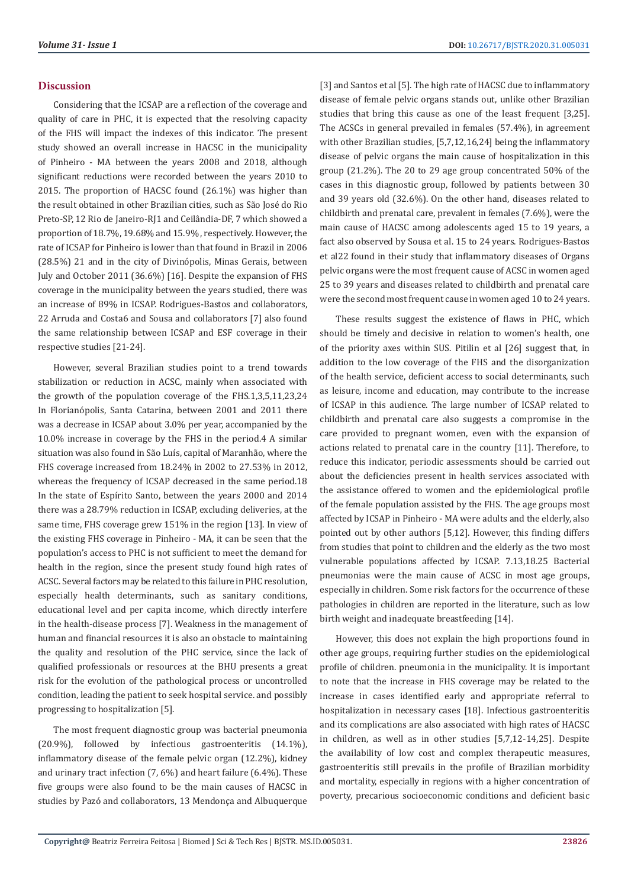# **Discussion**

Considering that the ICSAP are a reflection of the coverage and quality of care in PHC, it is expected that the resolving capacity of the FHS will impact the indexes of this indicator. The present study showed an overall increase in HACSC in the municipality of Pinheiro - MA between the years 2008 and 2018, although significant reductions were recorded between the years 2010 to 2015. The proportion of HACSC found (26.1%) was higher than the result obtained in other Brazilian cities, such as São José do Rio Preto-SP, 12 Rio de Janeiro-RJ1 and Ceilândia-DF, 7 which showed a proportion of 18.7%, 19.68% and 15.9% , respectively. However, the rate of ICSAP for Pinheiro is lower than that found in Brazil in 2006 (28.5%) 21 and in the city of Divinópolis, Minas Gerais, between July and October 2011 (36.6%) [16]. Despite the expansion of FHS coverage in the municipality between the years studied, there was an increase of 89% in ICSAP. Rodrigues-Bastos and collaborators, 22 Arruda and Costa6 and Sousa and collaborators [7] also found the same relationship between ICSAP and ESF coverage in their respective studies [21-24].

However, several Brazilian studies point to a trend towards stabilization or reduction in ACSC, mainly when associated with the growth of the population coverage of the FHS.1,3,5,11,23,24 In Florianópolis, Santa Catarina, between 2001 and 2011 there was a decrease in ICSAP about 3.0% per year, accompanied by the 10.0% increase in coverage by the FHS in the period.4 A similar situation was also found in São Luís, capital of Maranhão, where the FHS coverage increased from 18.24% in 2002 to 27.53% in 2012, whereas the frequency of ICSAP decreased in the same period.18 In the state of Espírito Santo, between the years 2000 and 2014 there was a 28.79% reduction in ICSAP, excluding deliveries, at the same time, FHS coverage grew 151% in the region [13]. In view of the existing FHS coverage in Pinheiro - MA, it can be seen that the population's access to PHC is not sufficient to meet the demand for health in the region, since the present study found high rates of ACSC. Several factors may be related to this failure in PHC resolution, especially health determinants, such as sanitary conditions, educational level and per capita income, which directly interfere in the health-disease process [7]. Weakness in the management of human and financial resources it is also an obstacle to maintaining the quality and resolution of the PHC service, since the lack of qualified professionals or resources at the BHU presents a great risk for the evolution of the pathological process or uncontrolled condition, leading the patient to seek hospital service. and possibly progressing to hospitalization [5].

The most frequent diagnostic group was bacterial pneumonia (20.9%), followed by infectious gastroenteritis (14.1%), inflammatory disease of the female pelvic organ (12.2%), kidney and urinary tract infection (7, 6%) and heart failure (6.4%). These five groups were also found to be the main causes of HACSC in studies by Pazó and collaborators, 13 Mendonça and Albuquerque [3] and Santos et al [5]. The high rate of HACSC due to inflammatory disease of female pelvic organs stands out, unlike other Brazilian studies that bring this cause as one of the least frequent [3,25]. The ACSCs in general prevailed in females (57.4%), in agreement with other Brazilian studies, [5,7,12,16,24] being the inflammatory disease of pelvic organs the main cause of hospitalization in this group (21.2%). The 20 to 29 age group concentrated 50% of the cases in this diagnostic group, followed by patients between 30 and 39 years old (32.6%). On the other hand, diseases related to childbirth and prenatal care, prevalent in females (7.6%), were the main cause of HACSC among adolescents aged 15 to 19 years, a fact also observed by Sousa et al. 15 to 24 years. Rodrigues-Bastos et al22 found in their study that inflammatory diseases of Organs pelvic organs were the most frequent cause of ACSC in women aged 25 to 39 years and diseases related to childbirth and prenatal care were the second most frequent cause in women aged 10 to 24 years.

These results suggest the existence of flaws in PHC, which should be timely and decisive in relation to women's health, one of the priority axes within SUS. Pitilin et al [26] suggest that, in addition to the low coverage of the FHS and the disorganization of the health service, deficient access to social determinants, such as leisure, income and education, may contribute to the increase of ICSAP in this audience. The large number of ICSAP related to childbirth and prenatal care also suggests a compromise in the care provided to pregnant women, even with the expansion of actions related to prenatal care in the country [11]. Therefore, to reduce this indicator, periodic assessments should be carried out about the deficiencies present in health services associated with the assistance offered to women and the epidemiological profile of the female population assisted by the FHS. The age groups most affected by ICSAP in Pinheiro - MA were adults and the elderly, also pointed out by other authors [5,12]. However, this finding differs from studies that point to children and the elderly as the two most vulnerable populations affected by ICSAP. 7.13,18.25 Bacterial pneumonias were the main cause of ACSC in most age groups, especially in children. Some risk factors for the occurrence of these pathologies in children are reported in the literature, such as low birth weight and inadequate breastfeeding [14].

However, this does not explain the high proportions found in other age groups, requiring further studies on the epidemiological profile of children. pneumonia in the municipality. It is important to note that the increase in FHS coverage may be related to the increase in cases identified early and appropriate referral to hospitalization in necessary cases [18]. Infectious gastroenteritis and its complications are also associated with high rates of HACSC in children, as well as in other studies [5,7,12-14,25]. Despite the availability of low cost and complex therapeutic measures, gastroenteritis still prevails in the profile of Brazilian morbidity and mortality, especially in regions with a higher concentration of poverty, precarious socioeconomic conditions and deficient basic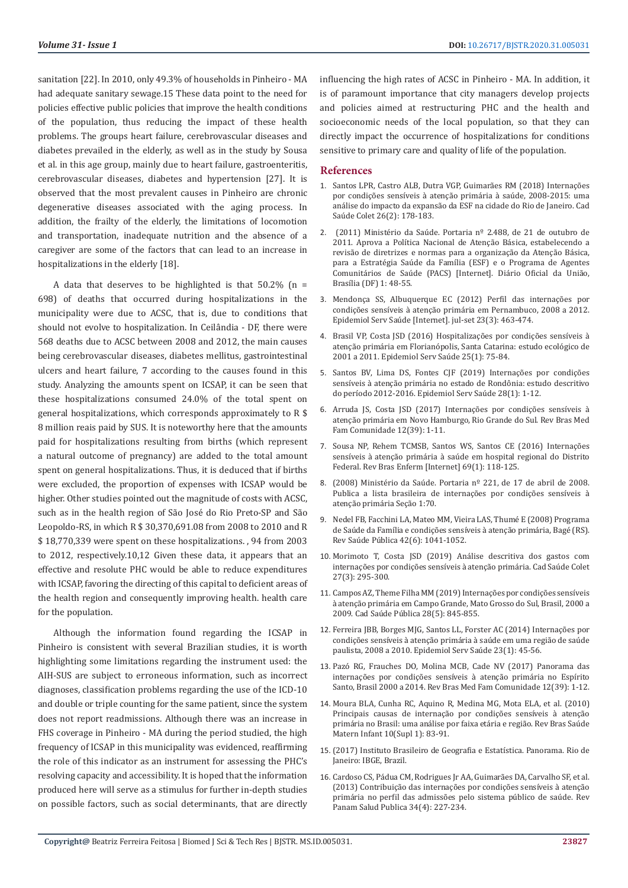sanitation [22]. In 2010, only 49.3% of households in Pinheiro - MA had adequate sanitary sewage.15 These data point to the need for policies effective public policies that improve the health conditions of the population, thus reducing the impact of these health problems. The groups heart failure, cerebrovascular diseases and diabetes prevailed in the elderly, as well as in the study by Sousa et al. in this age group, mainly due to heart failure, gastroenteritis, cerebrovascular diseases, diabetes and hypertension [27]. It is observed that the most prevalent causes in Pinheiro are chronic degenerative diseases associated with the aging process. In addition, the frailty of the elderly, the limitations of locomotion and transportation, inadequate nutrition and the absence of a caregiver are some of the factors that can lead to an increase in hospitalizations in the elderly [18].

A data that deserves to be highlighted is that  $50.2\%$  (n = 698) of deaths that occurred during hospitalizations in the municipality were due to ACSC, that is, due to conditions that should not evolve to hospitalization. In Ceilândia - DF, there were 568 deaths due to ACSC between 2008 and 2012, the main causes being cerebrovascular diseases, diabetes mellitus, gastrointestinal ulcers and heart failure, 7 according to the causes found in this study. Analyzing the amounts spent on ICSAP, it can be seen that these hospitalizations consumed 24.0% of the total spent on general hospitalizations, which corresponds approximately to R \$ 8 million reais paid by SUS. It is noteworthy here that the amounts paid for hospitalizations resulting from births (which represent a natural outcome of pregnancy) are added to the total amount spent on general hospitalizations. Thus, it is deduced that if births were excluded, the proportion of expenses with ICSAP would be higher. Other studies pointed out the magnitude of costs with ACSC, such as in the health region of São José do Rio Preto-SP and São Leopoldo-RS, in which R \$ 30,370,691.08 from 2008 to 2010 and R \$ 18,770,339 were spent on these hospitalizations. , 94 from 2003 to 2012, respectively.10,12 Given these data, it appears that an effective and resolute PHC would be able to reduce expenditures with ICSAP, favoring the directing of this capital to deficient areas of the health region and consequently improving health. health care for the population.

Although the information found regarding the ICSAP in Pinheiro is consistent with several Brazilian studies, it is worth highlighting some limitations regarding the instrument used: the AIH-SUS are subject to erroneous information, such as incorrect diagnoses, classification problems regarding the use of the ICD-10 and double or triple counting for the same patient, since the system does not report readmissions. Although there was an increase in FHS coverage in Pinheiro - MA during the period studied, the high frequency of ICSAP in this municipality was evidenced, reaffirming the role of this indicator as an instrument for assessing the PHC's resolving capacity and accessibility. It is hoped that the information produced here will serve as a stimulus for further in-depth studies on possible factors, such as social determinants, that are directly

influencing the high rates of ACSC in Pinheiro - MA. In addition, it is of paramount importance that city managers develop projects and policies aimed at restructuring PHC and the health and socioeconomic needs of the local population, so that they can directly impact the occurrence of hospitalizations for conditions sensitive to primary care and quality of life of the population.

#### **References**

- 1. [Santos LPR, Castro ALB, Dutra VGP, Guimar](https://www.scielo.br/scielo.php?script=sci_abstract&pid=S1414-462X2018000200178&lng=pt&nrm=iso)ães RM (2018) Internações por condições sensíveis à atenção primária à saú[de, 2008-2015: uma](https://www.scielo.br/scielo.php?script=sci_abstract&pid=S1414-462X2018000200178&lng=pt&nrm=iso) análise do impacto da expansã[o da ESF na cidade do Rio de Janeiro. Cad](https://www.scielo.br/scielo.php?script=sci_abstract&pid=S1414-462X2018000200178&lng=pt&nrm=iso) [Saúde Colet 26\(2\): 178-183.](https://www.scielo.br/scielo.php?script=sci_abstract&pid=S1414-462X2018000200178&lng=pt&nrm=iso)
- 2. (2011) Ministério da Saúde. Portaria nº 2.488, de 21 de outubro de 2011. Aprova a Política Nacional de Atenção Básica, estabelecendo a revisão de diretrizes e normas para a organização da Atenção Básica, para a Estratégia Saúde da Família (ESF) e o Programa de Agentes Comunitários de Saúde (PACS) [Internet]. Diário Oficial da União, Brasília (DF) 1: 48-55.
- 3. [Mendonça SS, Albuquerque EC \(2012\) Perfil das internações por](https://www.scielo.br/scielo.php?script=sci_arttext&pid=S2237-96222014000300463) condições sensíveis à atenção primá[ria em Pernambuco, 2008 a 2012.](https://www.scielo.br/scielo.php?script=sci_arttext&pid=S2237-96222014000300463) Epidemiol Serv Saú[de \[Internet\]. jul-set 23\(3\): 463-474.](https://www.scielo.br/scielo.php?script=sci_arttext&pid=S2237-96222014000300463)
- 4. [Brasil VP, Costa JSD \(2016\) Hospitalizações por condições sensíveis](https://www.scielo.br/scielo.php?pid=S2237-96222016000100075&script=sci_abstract&tlng=pt) à atenção primária em Florianó[polis, Santa Catarina: estudo ecol](https://www.scielo.br/scielo.php?pid=S2237-96222016000100075&script=sci_abstract&tlng=pt)ógico de [2001 a 2011. Epidemiol Serv Sa](https://www.scielo.br/scielo.php?pid=S2237-96222016000100075&script=sci_abstract&tlng=pt)úde 25(1): 75-84.
- 5. [Santos BV, Lima DS, Fontes CJF \(2019\) Internações por condiçõ](https://www.scielo.br/scielo.php?script=sci_abstract&pid=S2237-96222019000100300&lng=en&nrm=iso&tlng=pt)es sensíveis à atenção prim[ária no estado de Rondô](https://www.scielo.br/scielo.php?script=sci_abstract&pid=S2237-96222019000100300&lng=en&nrm=iso&tlng=pt)nia: estudo descritivo [do período 2012-2016. Epidemiol Serv Sa](https://www.scielo.br/scielo.php?script=sci_abstract&pid=S2237-96222019000100300&lng=en&nrm=iso&tlng=pt)úde 28(1): 1-12.
- 6. [Arruda JS, Costa JSD \(2017\) Internações por condições sensíveis](https://www.researchgate.net/publication/317127406_Internacoes_por_condicoes_sensiveis_a_atencao_primaria_em_Novo_Hamburgo_Rio_Grande_do_Sul) à atenção primá[ria em Novo Hamburgo, Rio Grande do Sul. Rev Bras Med](https://www.researchgate.net/publication/317127406_Internacoes_por_condicoes_sensiveis_a_atencao_primaria_em_Novo_Hamburgo_Rio_Grande_do_Sul) [Fam Comunidade 12\(39\): 1-11.](https://www.researchgate.net/publication/317127406_Internacoes_por_condicoes_sensiveis_a_atencao_primaria_em_Novo_Hamburgo_Rio_Grande_do_Sul)
- 7. [Sousa NP, Rehem TCMSB, Santos WS, Santos CE \(2016\) Internaçõ](https://www.scielo.br/scielo.php?script=sci_arttext&pid=S0034-71672016000100118)es sensíveis à atenção primária à [saúde em hospital regional do Distrito](https://www.scielo.br/scielo.php?script=sci_arttext&pid=S0034-71672016000100118) [Federal. Rev Bras Enferm \[Internet\] 69\(1\): 118-125.](https://www.scielo.br/scielo.php?script=sci_arttext&pid=S0034-71672016000100118)
- 8. (2008) Ministério da Saúde. Portaria nº 221, de 17 de abril de 2008. Publica a lista brasileira de internações por condições sensíveis à atenção primária Seção 1:70.
- 9. [Nedel FB, Facchini LA, Mateo MM, Vieira LAS, Thumé E \(2008\) Programa](https://www.scielo.br/scielo.php?script=sci_arttext&pid=S0034-89102008000600010) de Saúde da Família e condições sensíveis à atenção primária, Bagé (RS). Rev Saúde Pú[blica 42\(6\): 1041-1052.](https://www.scielo.br/scielo.php?script=sci_arttext&pid=S0034-89102008000600010)
- 10. [Morimoto T, Costa JSD \(2019\) An](https://www.scielo.br/scielo.php?pid=S1414-462X2019005007104&script=sci_abstract&tlng=pt)álise descritiva dos gastos com internações por condições sensíveis à atenção prim[ária. Cad Saúde Colet](https://www.scielo.br/scielo.php?pid=S1414-462X2019005007104&script=sci_abstract&tlng=pt) [27\(3\): 295-300.](https://www.scielo.br/scielo.php?pid=S1414-462X2019005007104&script=sci_abstract&tlng=pt)
- 11. [Campos AZ, Theme Filha MM \(2019\) Internações por condiçõ](https://www.scielo.br/scielo.php?script=sci_arttext&pid=S0102-311X2012000500004)es sensíveis à atenção primá[ria em Campo Grande, Mato Grosso do Sul, Brasil, 2000 a](https://www.scielo.br/scielo.php?script=sci_arttext&pid=S0102-311X2012000500004) 2009. Cad Saúde Pú[blica 28\(5\): 845-855.](https://www.scielo.br/scielo.php?script=sci_arttext&pid=S0102-311X2012000500004)
- 12. [Ferreira JBB, Borges MJG, Santos LL, Forster AC \(2014\) Internações por](https://www.scielo.br/scielo.php?pid=S2237-96222014000100045&script=sci_abstract&tlng=pt) condições sensíveis à atenção primária à saúde em uma região de saúde [paulista, 2008 a 2010. Epidemiol Serv Sa](https://www.scielo.br/scielo.php?pid=S2237-96222014000100045&script=sci_abstract&tlng=pt)úde 23(1): 45-56.
- 13. Pazó [RG, Frauches DO, Molina MCB, Cade NV \(2017\) Panorama das](https://rbmfc.org.br/rbmfc/article/view/1546) internações por condições sensíveis à atenção primária no Espírito [Santo, Brasil 2000 a 2014. Rev Bras Med Fam Comunidade 12\(39\): 1-12.](https://rbmfc.org.br/rbmfc/article/view/1546)
- 14. [Moura BLA, Cunha RC, Aquino R, Medina MG, Mota ELA, et al. \(2010\)](https://www.scielo.br/scielo.php?pid=S1519-38292010000500008&script=sci_abstract&tlng=pt) [Principais causas de internação por condiçõ](https://www.scielo.br/scielo.php?pid=S1519-38292010000500008&script=sci_abstract&tlng=pt)es sensíveis à atenção primária no Brasil: uma análise por faixa et[ária e região. Rev Bras Saúde](https://www.scielo.br/scielo.php?pid=S1519-38292010000500008&script=sci_abstract&tlng=pt) [Matern Infant 10\(Supl 1\): 83-91.](https://www.scielo.br/scielo.php?pid=S1519-38292010000500008&script=sci_abstract&tlng=pt)
- 15. (2017) Instituto Brasileiro de Geografia e Estatística. Panorama. Rio de Janeiro: IBGE, Brazil.
- 16. Cardoso CS, Pá[dua CM, Rodrigues Jr AA, Guimar](https://scielosp.org/article/rpsp/2013.v34n4/227-234/)ães DA, Carvalho SF, et al. [\(2013\) Contribuiçã](https://scielosp.org/article/rpsp/2013.v34n4/227-234/)o das internações por condições sensíveis à atenção primá[ria no perfil das admissões pelo sistema p](https://scielosp.org/article/rpsp/2013.v34n4/227-234/)úblico de saúde. Rev [Panam Salud Publica 34\(4\): 227-234.](https://scielosp.org/article/rpsp/2013.v34n4/227-234/)